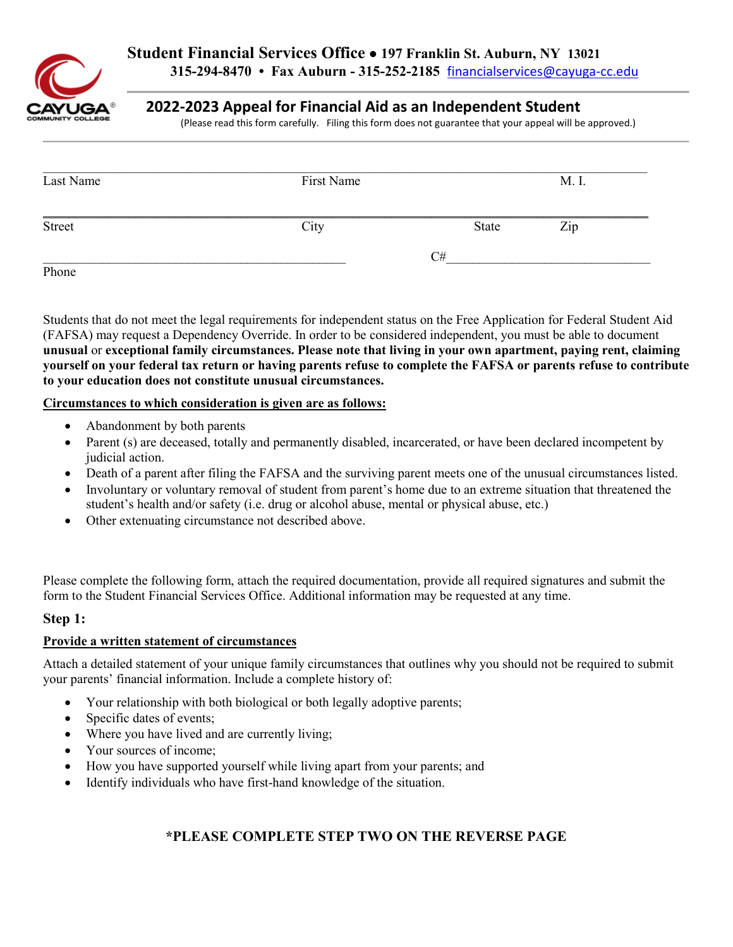

## **2022-2023 Appeal for Financial Aid as an Independent Student**

(Please read this form carefully. Filing this form does not guarantee that your appeal will be approved.)

| Last Name | First Name |       | M. I. |
|-----------|------------|-------|-------|
| Street    | City       | State | Zip   |
|           |            | C#    |       |
| Phone     |            |       |       |

Phone<br>Students that do not meet the legal requirements for independent status on the Free Application for Federal Student Aid (FAFSA) may request a Dependency Override. In order to be considered independent, you must be able to document **unusual** or **exceptional family circumstances. Please note that living in your own apartment, paying rent, claiming yourself on your federal tax return or having parents refuse to complete the FAFSA or parents refuse to contribute to your education does not constitute unusual circumstances.** 

### **Circumstances to which consideration is given are as follows:**

- Abandonment by both parents
- Parent (s) are deceased, totally and permanently disabled, incarcerated, or have been declared incompetent by judicial action.
- Death of a parent after filing the FAFSA and the surviving parent meets one of the unusual circumstances listed.
- student's health and/or safety (i.e. drug or alcohol abuse, mental or physical abuse, etc.) • Involuntary or voluntary removal of student from parent's home due to an extreme situation that threatened the
- Other extenuating circumstance not described above.

Please complete the following form, attach the required documentation, provide all required signatures and submit the form to the Student Financial Services Office. Additional information may be requested at any time.

## **Step 1:**

# **Step 1: Provide a written statement of circumstances**

 your parents' financial information. Include a complete history of: Attach a detailed statement of your unique family circumstances that outlines why you should not be required to submit

- Your relationship with both biological or both legally adoptive parents;
- Specific dates of events;
- Where you have lived and are currently living;
- Your sources of income;
- How you have supported yourself while living apart from your parents; and
- Identify individuals who have first-hand knowledge of the situation.

## **\*PLEASE COMPLETE STEP TWO ON THE REVERSE PAGE**